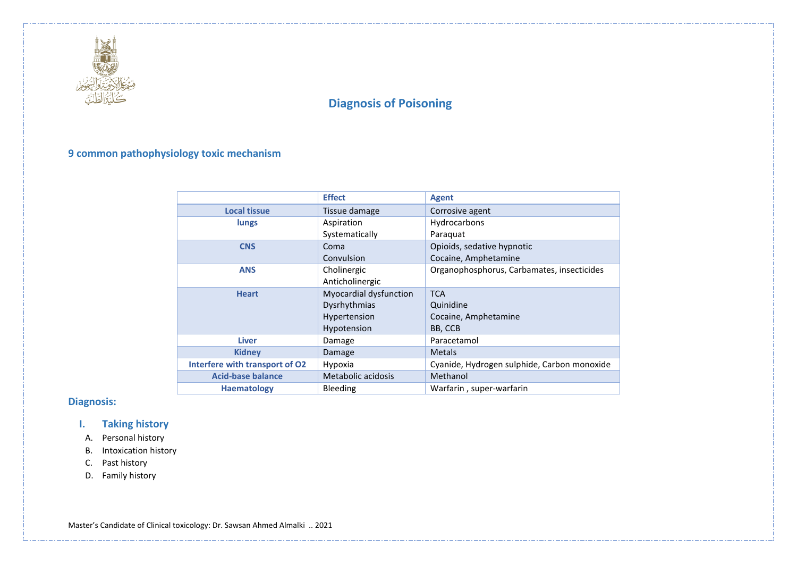

# **9 common pathophysiology toxic mechanism**

|                                | <b>Effect</b>          | <b>Agent</b>                                |
|--------------------------------|------------------------|---------------------------------------------|
| <b>Local tissue</b>            | Tissue damage          | Corrosive agent                             |
| lungs                          | Aspiration             | Hydrocarbons                                |
|                                | Systematically         | Paraquat                                    |
| <b>CNS</b>                     | Coma                   | Opioids, sedative hypnotic                  |
|                                | Convulsion             | Cocaine, Amphetamine                        |
| <b>ANS</b>                     | Cholinergic            | Organophosphorus, Carbamates, insecticides  |
|                                | Anticholinergic        |                                             |
| <b>Heart</b>                   | Myocardial dysfunction | <b>TCA</b>                                  |
|                                | Dysrhythmias           | Quinidine                                   |
|                                | Hypertension           | Cocaine, Amphetamine                        |
|                                | Hypotension            | BB, CCB                                     |
| <b>Liver</b>                   | Damage                 | Paracetamol                                 |
| <b>Kidney</b>                  | Damage                 | <b>Metals</b>                               |
| Interfere with transport of O2 | Hypoxia                | Cyanide, Hydrogen sulphide, Carbon monoxide |
| <b>Acid-base balance</b>       | Metabolic acidosis     | Methanol                                    |
| <b>Haematology</b>             | <b>Bleeding</b>        | Warfarin, super-warfarin                    |

# **Diagnosis:**

# **I. Taking history**

- A. Personal history
- B. Intoxication history
- C. Past history
- D. Family history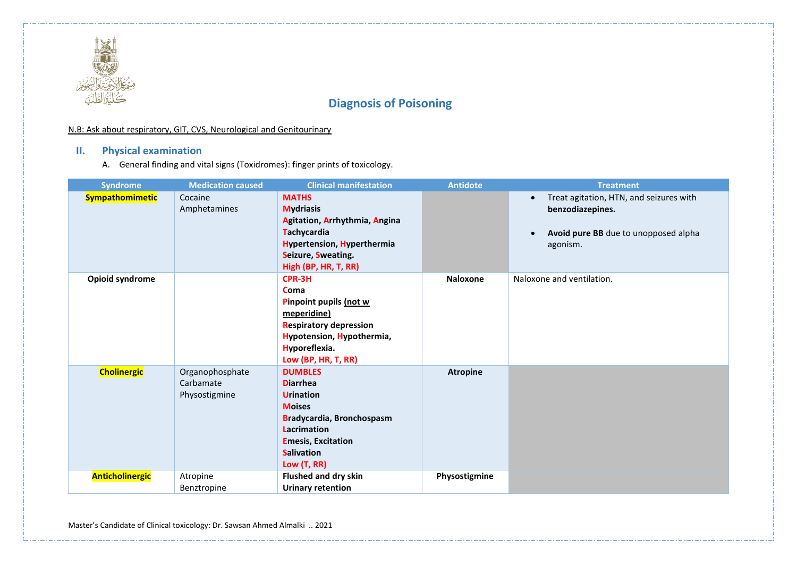

### N.B: Ask about respiratory, GIT, CVS, Neurological and Genitourinary

# **II. Physical examination**

A. General finding and vital signs (Toxidromes): finger prints of toxicology.

| <b>Syndrome</b>        | <b>Medication caused</b>                      | <b>Clinical manifestation</b>                                                                                                                                                              | <b>Antidote</b>                                                                                                                           | <b>Treatment</b>          |
|------------------------|-----------------------------------------------|--------------------------------------------------------------------------------------------------------------------------------------------------------------------------------------------|-------------------------------------------------------------------------------------------------------------------------------------------|---------------------------|
| <b>Sympathomimetic</b> | Cocaine<br>Amphetamines                       | <b>MATHS</b><br><b>Mydriasis</b><br>Agitation, Arrhythmia, Angina<br><b>Tachycardia</b><br><b>Hypertension, Hyperthermia</b><br>Seizure, Sweating.<br>High (BP, HR, T, RR)                 | Treat agitation, HTN, and seizures with<br>$\bullet$<br>benzodiazepines.<br>Avoid pure BB due to unopposed alpha<br>$\bullet$<br>agonism. |                           |
| Opioid syndrome        |                                               | CPR-3H<br><b>Coma</b><br>Pinpoint pupils (not w<br>meperidine)<br><b>Respiratory depression</b><br>Hypotension, Hypothermia,<br>Hyporeflexia.<br>Low (BP, HR, T, RR)                       | <b>Naloxone</b>                                                                                                                           | Naloxone and ventilation. |
| <b>Cholinergic</b>     | Organophosphate<br>Carbamate<br>Physostigmine | <b>DUMBLES</b><br><b>Diarrhea</b><br><b>Urination</b><br><b>Moises</b><br>Bradycardia, Bronchospasm<br><b>Lacrimation</b><br><b>Emesis, Excitation</b><br><b>Salivation</b><br>Low (T, RR) | <b>Atropine</b>                                                                                                                           |                           |
| <b>Anticholinergic</b> | Atropine<br>Benztropine                       | Flushed and dry skin<br><b>Urinary retention</b>                                                                                                                                           | Physostigmine                                                                                                                             |                           |

Master's Candidate of Clinical toxicology: Dr. Sawsan Ahmed Almalki .. 2021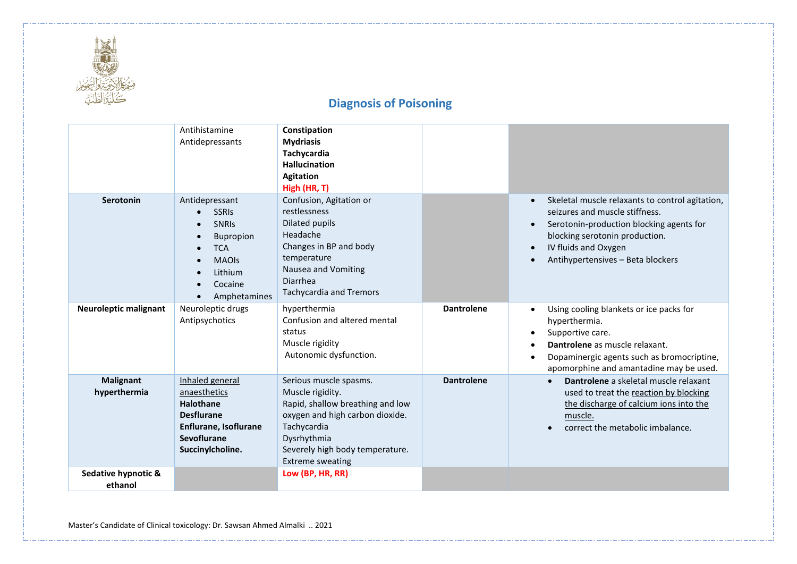

|                                                                                                                                                                                 | Antihistamine<br>Antidepressants                                                                                                                    | Constipation<br><b>Mydriasis</b><br>Tachycardia<br><b>Hallucination</b><br><b>Agitation</b><br>High (HR, T)                                                                                                   |                   |                                                                                                                                                                                                                                                                                  |
|---------------------------------------------------------------------------------------------------------------------------------------------------------------------------------|-----------------------------------------------------------------------------------------------------------------------------------------------------|---------------------------------------------------------------------------------------------------------------------------------------------------------------------------------------------------------------|-------------------|----------------------------------------------------------------------------------------------------------------------------------------------------------------------------------------------------------------------------------------------------------------------------------|
| <b>Serotonin</b>                                                                                                                                                                | Antidepressant<br><b>SSRIs</b><br><b>SNRIS</b><br><b>Bupropion</b><br><b>TCA</b><br>$\bullet$<br><b>MAOIs</b><br>Lithium<br>Cocaine<br>Amphetamines | Confusion, Agitation or<br>restlessness<br>Dilated pupils<br>Headache<br>Changes in BP and body<br>temperature<br>Nausea and Vomiting<br><b>Diarrhea</b><br><b>Tachycardia and Tremors</b>                    |                   | Skeletal muscle relaxants to control agitation,<br>$\bullet$<br>seizures and muscle stiffness.<br>Serotonin-production blocking agents for<br>$\bullet$<br>blocking serotonin production.<br>IV fluids and Oxygen<br>$\bullet$<br>Antihypertensives - Beta blockers<br>$\bullet$ |
| <b>Neuroleptic malignant</b>                                                                                                                                                    | Neuroleptic drugs<br>Antipsychotics                                                                                                                 | hyperthermia<br>Confusion and altered mental<br>status<br>Muscle rigidity<br>Autonomic dysfunction.                                                                                                           | <b>Dantrolene</b> | Using cooling blankets or ice packs for<br>$\bullet$<br>hyperthermia.<br>Supportive care.<br>$\bullet$<br>Dantrolene as muscle relaxant.<br>$\bullet$<br>Dopaminergic agents such as bromocriptine,<br>$\bullet$<br>apomorphine and amantadine may be used.                      |
| <b>Malignant</b><br>Inhaled general<br>hyperthermia<br>anaesthetics<br><b>Halothane</b><br><b>Desflurane</b><br>Enflurane, Isoflurane<br><b>Sevoflurane</b><br>Succinylcholine. |                                                                                                                                                     | Serious muscle spasms.<br>Muscle rigidity.<br>Rapid, shallow breathing and low<br>oxygen and high carbon dioxide.<br>Tachycardia<br>Dysrhythmia<br>Severely high body temperature.<br><b>Extreme sweating</b> | <b>Dantrolene</b> | Dantrolene a skeletal muscle relaxant<br>used to treat the reaction by blocking<br>the discharge of calcium ions into the<br>muscle.<br>correct the metabolic imbalance.<br>$\bullet$                                                                                            |
| Sedative hypnotic &<br>ethanol                                                                                                                                                  |                                                                                                                                                     | Low (BP, HR, RR)                                                                                                                                                                                              |                   |                                                                                                                                                                                                                                                                                  |

Master's Candidate of Clinical toxicology: Dr. Sawsan Ahmed Almalki .. 2021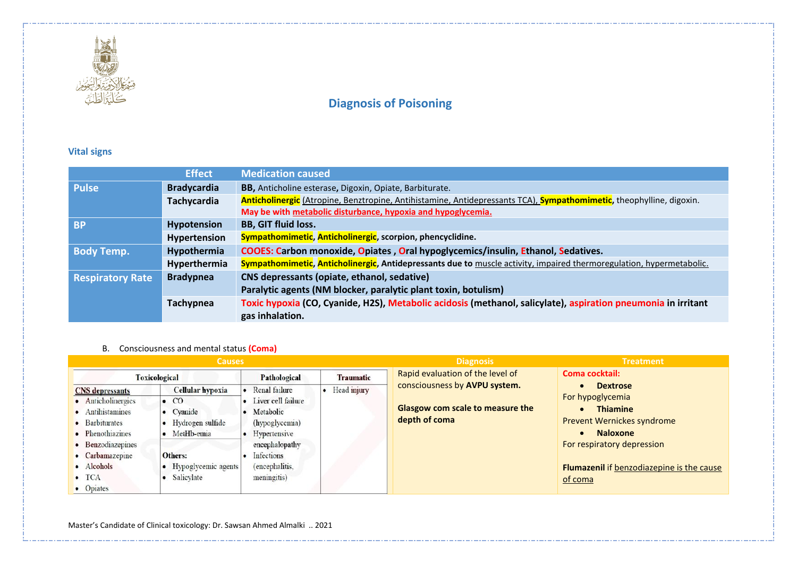

# **Vital signs**

|                         | <b>Effect</b>      | <b>Medication caused</b>                                                                                             |  |  |
|-------------------------|--------------------|----------------------------------------------------------------------------------------------------------------------|--|--|
| <b>Pulse</b>            | <b>Bradycardia</b> | BB, Anticholine esterase, Digoxin, Opiate, Barbiturate.                                                              |  |  |
|                         | <b>Tachycardia</b> | Anticholinergic (Atropine, Benztropine, Antihistamine, Antidepressants TCA), Sympathomimetic, theophylline, digoxin. |  |  |
|                         |                    | May be with metabolic disturbance, hypoxia and hypoglycemia.                                                         |  |  |
| <b>BP</b>               | Hypotension        | <b>BB, GIT fluid loss.</b>                                                                                           |  |  |
|                         | Hypertension       | Sympathomimetic, Anticholinergic, scorpion, phencyclidine.                                                           |  |  |
| <b>Body Temp.</b>       | Hypothermia        | COOES: Carbon monoxide, Opiates, Oral hypoglycemics/insulin, Ethanol, Sedatives.                                     |  |  |
|                         | Hyperthermia       | Sympathomimetic, Anticholinergic, Antidepressants due to muscle activity, impaired thermoregulation, hypermetabolic. |  |  |
| <b>Respiratory Rate</b> | <b>Bradypnea</b>   | CNS depressants (opiate, ethanol, sedative)                                                                          |  |  |
|                         |                    | Paralytic agents (NM blocker, paralytic plant toxin, botulism)                                                       |  |  |
|                         | Tachypnea          | Toxic hypoxia (CO, Cyanide, H2S), Metabolic acidosis (methanol, salicylate), aspiration pneumonia in irritant        |  |  |
|                         |                    | gas inhalation.                                                                                                      |  |  |

### B. Consciousness and mental status **(Coma)**

| <b>Causes</b>                                                                                                                                                                              |                                                                                                                                       |                                                                                                                                                         |               | <b>Diagnosis</b>                                                                          | <b>Treatment</b>                                                                                                                                                                                            |  |
|--------------------------------------------------------------------------------------------------------------------------------------------------------------------------------------------|---------------------------------------------------------------------------------------------------------------------------------------|---------------------------------------------------------------------------------------------------------------------------------------------------------|---------------|-------------------------------------------------------------------------------------------|-------------------------------------------------------------------------------------------------------------------------------------------------------------------------------------------------------------|--|
| <b>Toxicological</b>                                                                                                                                                                       |                                                                                                                                       | Pathological                                                                                                                                            | Traumatic     | Rapid evaluation of the level of                                                          | Coma cocktail:                                                                                                                                                                                              |  |
| <b>CNS</b> depressants<br>• Anticholinergics<br>· Antihistamines<br>• Barbiturates<br>• Phenothiazines<br>• Benzodiazepines<br>• Carbamazepine<br>· Alcohols<br>$\bullet$ TCA<br>• Opiates | Cellular hypoxia<br>$\bullet$ CO<br>• Cyanide<br>• Hydrogen sulfide<br>• MetHb-emia<br>Others:<br>• Hypoglycemic agents<br>Salicylate | Renal failure<br>• Liver cell failure<br>· Metabolic<br>(hypoglycemia)<br>Hypertensive<br>encephalopathy<br>Infections<br>(encephalitis,<br>meningitis) | • Head injury | consciousness by AVPU system.<br><b>Glasgow com scale to measure the</b><br>depth of coma | <b>Dextrose</b><br>For hypoglycemia<br><b>Thiamine</b><br><b>Prevent Wernickes syndrome</b><br><b>Naloxone</b><br>For respiratory depression<br><b>Flumazenil if benzodiazepine is the cause</b><br>of coma |  |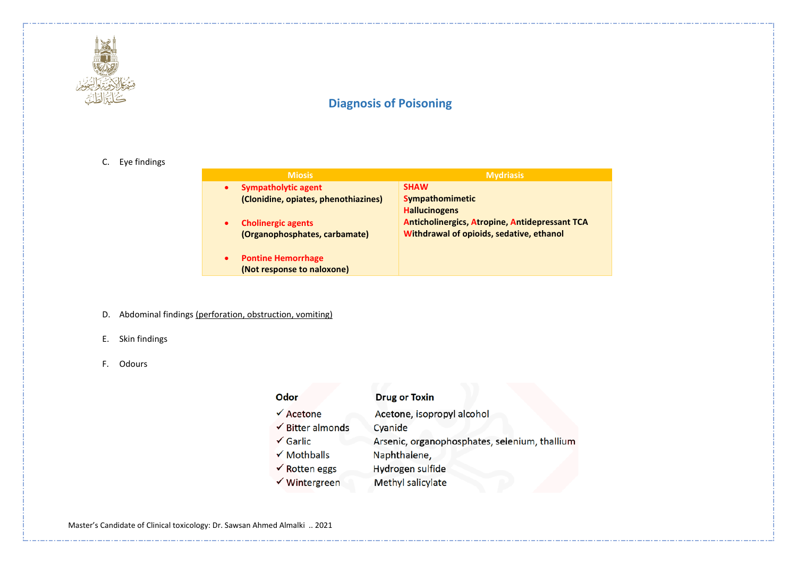

### C. Eye findings

| <b>Miosis</b>                        | <b>Mydriasis</b>                                      |
|--------------------------------------|-------------------------------------------------------|
| <b>Sympatholytic agent</b>           | <b>SHAW</b>                                           |
| (Clonidine, opiates, phenothiazines) | <b>Sympathomimetic</b>                                |
|                                      | <b>Hallucinogens</b>                                  |
| <b>Cholinergic agents</b>            | <b>Anticholinergics, Atropine, Antidepressant TCA</b> |
| (Organophosphates, carbamate)        | Withdrawal of opioids, sedative, ethanol              |
|                                      |                                                       |
| <b>Pontine Hemorrhage</b>            |                                                       |
| (Not response to naloxone)           |                                                       |

- D. Abdominal findings (perforation, obstruction, vomiting)
- E. Skin findings
- F. Odours

| Odor                        | <b>Drug or Toxin</b>                          |
|-----------------------------|-----------------------------------------------|
| $\sqrt{\text{Acetone}}$     | Acetone, isopropyl alcohol                    |
| $\checkmark$ Bitter almonds | Cyanide                                       |
| $\checkmark$ Garlic         | Arsenic, organophosphates, selenium, thallium |
| $\checkmark$ Mothballs      | Naphthalene,                                  |
| $\checkmark$ Rotten eggs    | Hydrogen sulfide                              |
| √ Wintergreen               | Methyl salicylate                             |

Master's Candidate of Clinical toxicology: Dr. Sawsan Ahmed Almalki .. 2021